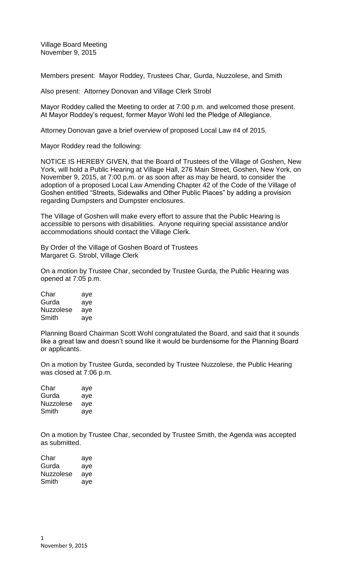Village Board Meeting November 9, 2015

Members present: Mayor Roddey, Trustees Char, Gurda, Nuzzolese, and Smith

Also present: Attorney Donovan and Village Clerk Strobl

Mayor Roddey called the Meeting to order at 7:00 p.m. and welcomed those present. At Mayor Roddey's request, former Mayor Wohl led the Pledge of Allegiance.

Attorney Donovan gave a brief overview of proposed Local Law #4 of 2015.

Mayor Roddey read the following:

NOTICE IS HEREBY GIVEN, that the Board of Trustees of the Village of Goshen, New York, will hold a Public Hearing at Village Hall, 276 Main Street, Goshen, New York, on November 9, 2015, at 7:00 p.m. or as soon after as may be heard, to consider the adoption of a proposed Local Law Amending Chapter 42 of the Code of the Village of Goshen entitled "Streets, Sidewalks and Other Public Places" by adding a provision regarding Dumpsters and Dumpster enclosures.

The Village of Goshen will make every effort to assure that the Public Hearing is accessible to persons with disabilities. Anyone requiring special assistance and/or accommodations should contact the Village Clerk.

By Order of the Village of Goshen Board of Trustees Margaret G. Strobl, Village Clerk

On a motion by Trustee Char, seconded by Trustee Gurda, the Public Hearing was opened at 7:05 p.m.

| Char             | aye |
|------------------|-----|
| Gurda            | aye |
| <b>Nuzzolese</b> | ave |
| Smith            | aye |

Planning Board Chairman Scott Wohl congratulated the Board, and said that it sounds like a great law and doesn't sound like it would be burdensome for the Planning Board or applicants.

On a motion by Trustee Gurda, seconded by Trustee Nuzzolese, the Public Hearing was closed at 7:06 p.m.

| Char      | aye |
|-----------|-----|
| Gurda     | aye |
| Nuzzolese | aye |
| Smith     | aye |

On a motion by Trustee Char, seconded by Trustee Smith, the Agenda was accepted as submitted.

| Char      | aye |
|-----------|-----|
| Gurda     | aye |
| Nuzzolese | aye |
| Smith     | ave |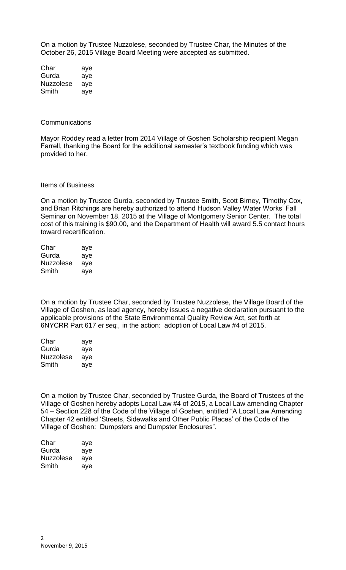On a motion by Trustee Nuzzolese, seconded by Trustee Char, the Minutes of the October 26, 2015 Village Board Meeting were accepted as submitted.

| Char             | aye |
|------------------|-----|
| Gurda            | aye |
| <b>Nuzzolese</b> | ave |
| Smith            | aye |

## **Communications**

Mayor Roddey read a letter from 2014 Village of Goshen Scholarship recipient Megan Farrell, thanking the Board for the additional semester's textbook funding which was provided to her.

## Items of Business

On a motion by Trustee Gurda, seconded by Trustee Smith, Scott Birney, Timothy Cox, and Brian Ritchings are hereby authorized to attend Hudson Valley Water Works' Fall Seminar on November 18, 2015 at the Village of Montgomery Senior Center. The total cost of this training is \$90.00, and the Department of Health will award 5.5 contact hours toward recertification.

| Char      | aye |
|-----------|-----|
| Gurda     | aye |
| Nuzzolese | aye |
| Smith     | aye |

On a motion by Trustee Char, seconded by Trustee Nuzzolese, the Village Board of the Village of Goshen, as lead agency, hereby issues a negative declaration pursuant to the applicable provisions of the State Environmental Quality Review Act, set forth at 6NYCRR Part 617 *et seq.,* in the action: adoption of Local Law #4 of 2015.

| Char      | aye |
|-----------|-----|
| Gurda     | aye |
| Nuzzolese | aye |
| Smith     | aye |

On a motion by Trustee Char, seconded by Trustee Gurda, the Board of Trustees of the Village of Goshen hereby adopts Local Law #4 of 2015, a Local Law amending Chapter 54 – Section 228 of the Code of the Village of Goshen, entitled "A Local Law Amending Chapter 42 entitled 'Streets, Sidewalks and Other Public Places' of the Code of the Village of Goshen: Dumpsters and Dumpster Enclosures".

| Char      | aye |
|-----------|-----|
| Gurda     | aye |
| Nuzzolese | aye |
| Smith     | aye |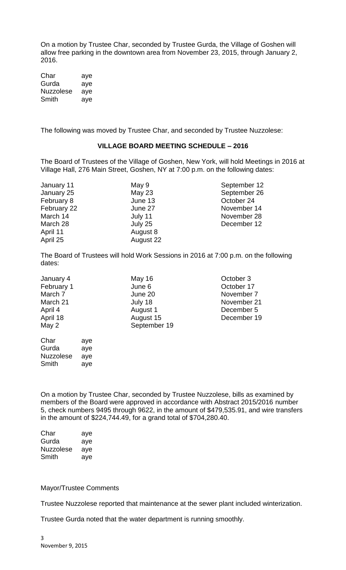On a motion by Trustee Char, seconded by Trustee Gurda, the Village of Goshen will allow free parking in the downtown area from November 23, 2015, through January 2, 2016.

| Char             | aye |
|------------------|-----|
| Gurda            | aye |
| <b>Nuzzolese</b> | aye |
| Smith            | aye |

The following was moved by Trustee Char, and seconded by Trustee Nuzzolese:

## **VILLAGE BOARD MEETING SCHEDULE – 2016**

The Board of Trustees of the Village of Goshen, New York, will hold Meetings in 2016 at Village Hall, 276 Main Street, Goshen, NY at 7:00 p.m. on the following dates:

February 8 **June 13** Corober 24 April 11 August 8 April 25 August 22

January 11 **May 9** May 9 September 12<br>January 25 May 23 September 26 September 26 February 22 June 27 **November 14** March 14 July 11 **November 28** March 28 **July 25 December 12** 

The Board of Trustees will hold Work Sessions in 2016 at 7:00 p.m. on the following dates:

| January 4  |     | May 16       |
|------------|-----|--------------|
| February 1 |     | June 6       |
| March 7    |     | June 20      |
| March 21   |     | July 18      |
| April 4    |     | August 1     |
| April 18   |     | August 15    |
| May 2      |     | September 19 |
| Char       | aye |              |
| Gurda      | aye |              |

October 3 October 17 November 7 November 21 December 5 December 19

On a motion by Trustee Char, seconded by Trustee Nuzzolese, bills as examined by members of the Board were approved in accordance with Abstract 2015/2016 number 5, check numbers 9495 through 9622, in the amount of \$479,535.91, and wire transfers in the amount of \$224,744.49, for a grand total of \$704,280.40.

| Char      | aye |
|-----------|-----|
| Gurda     | aye |
| Nuzzolese | aye |
| Smith     | aye |

Nuzzolese aye Smith aye

## Mayor/Trustee Comments

Trustee Nuzzolese reported that maintenance at the sewer plant included winterization.

Trustee Gurda noted that the water department is running smoothly.